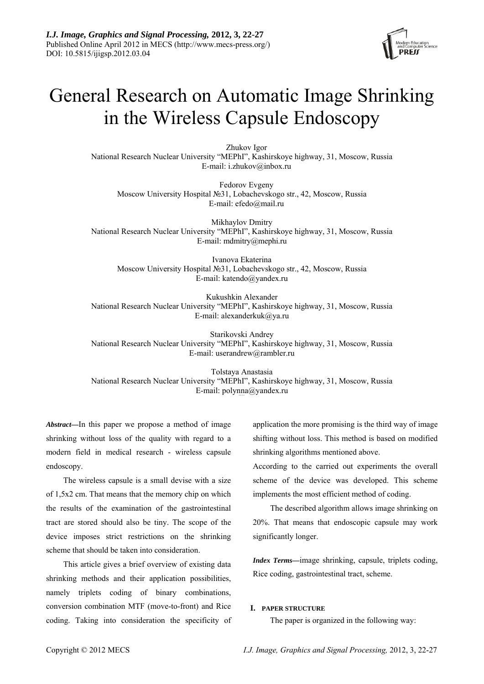

# General Research on Automatic Image Shrinking in the Wireless Capsule Endoscopy

Zhukov Igor National Research Nuclear University "MEPhI", Kashirskoye highway, 31, Moscow, Russia E-mail: i.zhukov@inbox.ru

Fedorov Evgeny Moscow University Hospital №31, Lobachevskogo str., 42, Moscow, Russia E-mail: efedo@mail.ru

Mikhaylov Dmitry National Research Nuclear University "MEPhI", Kashirskoye highway, 31, Moscow, Russia E-mail: mdmitry@mephi.ru

Ivanova Ekaterina Moscow University Hospital №31, Lobachevskogo str., 42, Moscow, Russia E-mail: katendo@yandex.ru

Kukushkin Alexander National Research Nuclear University "MEPhI", Kashirskoye highway, 31, Moscow, Russia E-mail: alexanderkuk@ya.ru

Starikovski Andrey National Research Nuclear University "MEPhI", Kashirskoye highway, 31, Moscow, Russia E-mail: userandrew@rambler.ru

Tolstaya Anastasia National Research Nuclear University "MEPhI", Kashirskoye highway, 31, Moscow, Russia E-mail: polynna@yandex.ru

*Abstract***—**In this paper we propose a method of image shrinking without loss of the quality with regard to a modern field in medical research - wireless capsule endoscopy.

The wireless capsule is a small devise with a size of 1,5x2 cm. That means that the memory chip on which the results of the examination of the gastrointestinal tract are stored should also be tiny. The scope of the device imposes strict restrictions on the shrinking scheme that should be taken into consideration.

This article gives a brief overview of existing data shrinking methods and their application possibilities, namely triplets coding of binary combinations, conversion combination MTF (move-to-front) and Rice coding. Taking into consideration the specificity of application the more promising is the third way of image shifting without loss. This method is based on modified shrinking algorithms mentioned above.

According to the carried out experiments the overall scheme of the device was developed. This scheme implements the most efficient method of coding.

The described algorithm allows image shrinking on 20%. That means that endoscopic capsule may work significantly longer.

*Index Terms—*image shrinking, capsule, triplets coding, Rice coding, gastrointestinal tract, scheme.

### **I. PAPER STRUCTURE**

The paper is organized in the following way: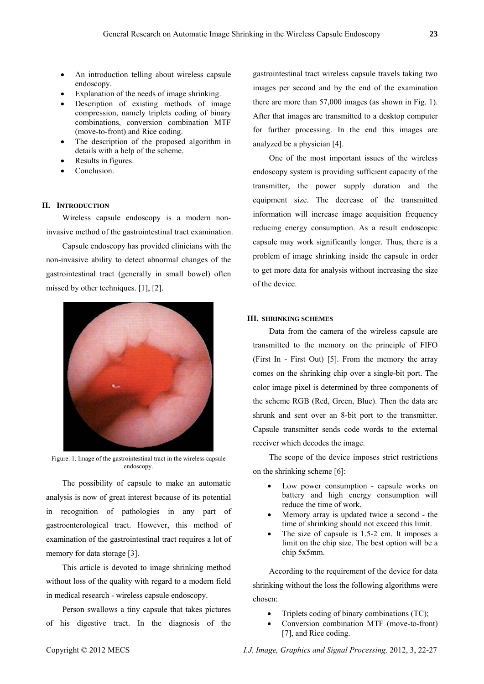- An introduction telling about wireless capsule endoscopy.
- Explanation of the needs of image shrinking.
- Description of existing methods of image compression, namely triplets coding of binary combinations, conversion combination MTF (move-to-front) and Rice coding.
- The description of the proposed algorithm in details with a help of the scheme.
- Results in figures.
- Conclusion.

### **II. INTRODUCTION**

Wireless capsule endoscopy is a modern noninvasive method of the gastrointestinal tract examination.

Capsule endoscopy has provided clinicians with the non-invasive ability to detect abnormal changes of the gastrointestinal tract (generally in small bowel) often missed by other techniques. [1], [2].



Figure. 1. Image of the gastrointestinal tract in the wireless capsule endoscopy.

The possibility of capsule to make an automatic analysis is now of great interest because of its potential in recognition of pathologies in any part of gastroenterological tract. However, this method of examination of the gastrointestinal tract requires a lot of memory for data storage [3].

This article is devoted to image shrinking method without loss of the quality with regard to a modern field in medical research - wireless capsule endoscopy.

Person swallows a tiny capsule that takes pictures of his digestive tract. In the diagnosis of the

gastrointestinal tract wireless capsule travels taking two images per second and by the end of the examination there are more than 57,000 images (as shown in Fig. 1). After that images are transmitted to a desktop computer for further processing. In the end this images are analyzed be a physician [4].

One of the most important issues of the wireless endoscopy system is providing sufficient capacity of the transmitter, the power supply duration and the equipment size. The decrease of the transmitted information will increase image acquisition frequency reducing energy consumption. As a result endoscopic capsule may work significantly longer. Thus, there is a problem of image shrinking inside the capsule in order to get more data for analysis without increasing the size of the device.

## **III. SHRINKING SCHEMES**

Data from the camera of the wireless capsule are transmitted to the memory on the principle of FIFO (First In - First Out) [5]. From the memory the array comes on the shrinking chip over a single-bit port. The color image pixel is determined by three components of the scheme RGB (Red, Green, Blue). Then the data are shrunk and sent over an 8-bit port to the transmitter. Capsule transmitter sends code words to the external receiver which decodes the image.

The scope of the device imposes strict restrictions on the shrinking scheme [6]:

- Low power consumption capsule works on battery and high energy consumption will reduce the time of work.
- Memory array is updated twice a second the time of shrinking should not exceed this limit.
- The size of capsule is 1.5-2 cm. It imposes a limit on the chip size. The best option will be a chip 5х5mm.

According to the requirement of the device for data shrinking without the loss the following algorithms were chosen:

- Triplets coding of binary combinations (TC);
- Conversion combination MTF (move-to-front) [7], and Rice coding.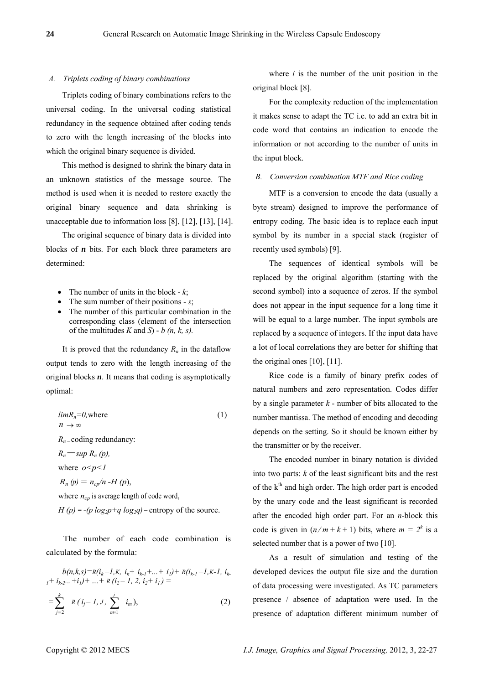#### *A. Triplets coding of binary combinations*

Triplets coding of binary combinations refers to the universal coding. In the universal coding statistical redundancy in the sequence obtained after coding tends to zero with the length increasing of the blocks into which the original binary sequence is divided.

This method is designed to shrink the binary data in an unknown statistics of the message source. The method is used when it is needed to restore exactly the original binary sequence and data shrinking is unacceptable due to information loss [8], [12], [13], [14].

The original sequence of binary data is divided into blocks of *n* bits. For each block three parameters are determined:

- The number of units in the block  $-k$ ;
- The sum number of their positions *s*;
- The number of this particular combination in the corresponding class (element of the intersection of the multitudes *K* and *S*) - *b (n, k, s).*

It is proved that the redundancy  $R_n$  in the dataflow output tends to zero with the length increasing of the original blocks *n*. It means that coding is asymptotically optimal:

$$
lim_{n \to \infty} R_n = 0, \text{where}
$$
\n
$$
(1)
$$

 $R_n$  – coding redundancy:

 $R_n = \sup R_n(p)$ ,

where 
$$
o < p < l
$$

 $R_n(p) = n_{cp}/n - H(p)$ ,

where  $n_{cp}$  is average length of code word,

 $H(p) = -(p \log_2 p + q \log_2 q)$  – entropy of the source.

The number of each code combination is calculated by the formula:

$$
b(n,k,s)=R(i_{k}-1,k, i_{k}+i_{k-1}+...+i_{l})+R(i_{k-1}-1,k-1, i_{k-1}+i_{k-2}...+i_{l})+...+R(i_{2}-1, 2, i_{2}+i_{l})=
$$
  
=
$$
\sum_{j=2}^{k} R(i_{j}-1, J, \sum_{m=1}^{j} i_{m}),
$$
 (2)

where 
$$
i
$$
 is the number of the unit position in the original block [8].

For the complexity reduction of the implementation it makes sense to adapt the TC i.e. to add an extra bit in code word that contains an indication to encode the information or not according to the number of units in the input block.

#### *B. Conversion combination MTF and Rice coding*

MTF is a conversion to encode the data (usually a byte stream) designed to improve the performance of entropy coding. The basic idea is to replace each input symbol by its number in a special stack (register of recently used symbols) [9].

The sequences of identical symbols will be replaced by the original algorithm (starting with the second symbol) into a sequence of zeros. If the symbol does not appear in the input sequence for a long time it will be equal to a large number. The input symbols are replaced by a sequence of integers. If the input data have a lot of local correlations they are better for shifting that the original ones [10], [11].

Rice code is a family of binary prefix codes of natural numbers and zero representation. Codes differ by a single parameter  $k$  - number of bits allocated to the number mantissa. The method of encoding and decoding depends on the setting. So it should be known either by the transmitter or by the receiver.

The encoded number in binary notation is divided into two parts: *k* of the least significant bits and the rest of the  $k<sup>th</sup>$  and high order. The high order part is encoded by the unary code and the least significant is recorded after the encoded high order part. For an *n*-block this code is given in  $(n/m + k + 1)$  bits, where  $m = 2^k$  is a selected number that is a power of two [10].

As a result of simulation and testing of the developed devices the output file size and the duration of data processing were investigated. As TC parameters presence / absence of adaptation were used. In the presence of adaptation different minimum number of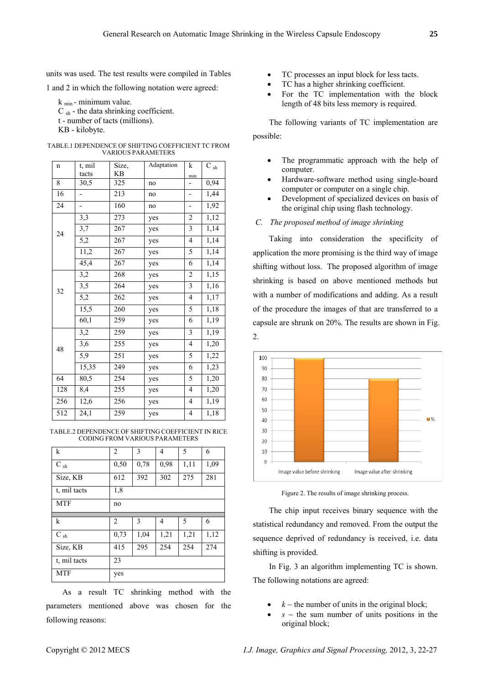units was used. The test results were compiled in Tables

1 and 2 in which the following notation were agreed:

 $k_{min}$ - minimum value.  $C_{\rm sh}$  - the data shrinking coefficient. t - number of tacts (millions). KB - kilobyte.

| <b>TABLE.1 DEPENDENCE OF SHIFTING COEFFICIENT TC FROM</b> |
|-----------------------------------------------------------|
| <b>VARIOUS PARAMETERS</b>                                 |

| $\mathbf n$ | t, mil           | Size,     | Adaptation | k                        | $\rm C$ $_{\rm sh}$ |
|-------------|------------------|-----------|------------|--------------------------|---------------------|
|             | tacts            | <b>KB</b> |            | min                      |                     |
| 8           | 30,5             | 325       | no         |                          | 0,94                |
| 16          |                  | 213       | no         | -                        | 1,44                |
| 24          |                  | 160       | no         |                          | 1,92                |
| 24          | 3,3              | 273       | yes        | $\overline{c}$           | 1,12                |
|             | 3,7              | 267       | yes        | 3                        | 1,14                |
|             | $\overline{5,2}$ | 267       | yes        | $\overline{4}$           | 1,14                |
|             | 11,2             | 267       | yes        | 5                        | 1,14                |
|             | 45,4             | 267       | yes        | 6                        | 1,14                |
| 32          | 3,2              | 268       | yes        | $\overline{c}$           | 1,15                |
|             | 3,5              | 264       | yes        | $\overline{\mathbf{3}}$  | 1,16                |
|             | 5,2              | 262       | yes        | $\overline{\mathcal{L}}$ | 1,17                |
|             | 15,5             | 260       | yes        | 5                        | 1,18                |
|             | 60,1             | 259       | yes        | 6                        | 1,19                |
| 48          | 3,2              | 259       | yes        | $\overline{\mathbf{3}}$  | 1,19                |
|             | 3,6              | 255       | yes        | $\overline{4}$           | 1,20                |
|             | 5,9              | 251       | yes        | 5                        | 1,22                |
|             | 15,35            | 249       | yes        | $\overline{6}$           | 1,23                |
| 64          | 80,5             | 254       | yes        | 5                        | 1,20                |
| 128         | 8,4              | 255       | yes        | $\overline{4}$           | 1,20                |
| 256         | 12,6             | 256       | yes        | 4                        | 1,19                |
| 512         | 24,1             | 259       | yes        | $\overline{\mathcal{L}}$ | 1,18                |

TABLE.2 DEPENDENCE OF SHIFTING COEFFICIENT IN RICE CODING FROM VARIOUS PARAMETERS

| $\mathbf k$         | $\overline{2}$ | 3    | 4    | 5    | 6    |  |  |
|---------------------|----------------|------|------|------|------|--|--|
| $\rm C$ $_{\rm sh}$ | 0,50           | 0,78 | 0,98 | 1,11 | 1,09 |  |  |
| Size, KB            | 612            | 392  | 302  | 275  | 281  |  |  |
| t, mil tacts        | 1,8            |      |      |      |      |  |  |
| <b>MTF</b>          | no             |      |      |      |      |  |  |
|                     |                |      |      |      |      |  |  |
|                     |                |      |      |      |      |  |  |
| k                   | 2              | 3    | 4    | 5    | 6    |  |  |
| $\rm C$ $_{\rm sh}$ | 0,73           | 1,04 | 1,21 | 1,21 | 1,12 |  |  |
| Size, KB            | 415            | 295  | 254  | 254  | 274  |  |  |
| t, mil tacts        | 23             |      |      |      |      |  |  |

As a result TC shrinking method with the parameters mentioned above was chosen for the following reasons:

- TC processes an input block for less tacts.
- TC has a higher shrinking coefficient.
- For the TC implementation with the block length of 48 bits less memory is required.

The following variants of TC implementation are possible:

- The programmatic approach with the help of computer.
- Hardware-software method using single-board computer or computer on a single chip.
- Development of specialized devices on basis of the original chip using flash technology.

#### *C. The proposed method of image shrinking*

Taking into consideration the specificity of application the more promising is the third way of image shifting without loss. The proposed algorithm of image shrinking is based on above mentioned methods but with a number of modifications and adding. As a result of the procedure the images of that are transferred to a capsule are shrunk on 20%. The results are shown in Fig. 2.



Figure 2. The results of image shrinking process.

The chip input receives binary sequence with the statistical redundancy and removed. From the output the sequence deprived of redundancy is received, i.e. data shifting is provided.

In Fig. 3 an algorithm implementing TC is shown. The following notations are agreed:

- $k$  the number of units in the original block;
- $\bullet$  *s* the sum number of units positions in the original block;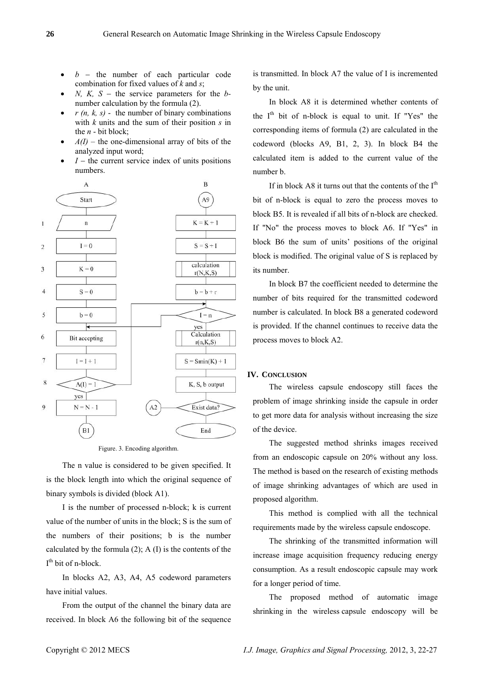- $b -$  the number of each particular code combination for fixed values of *k* and *s*;
- *N, K, S the service parameters for the <i>b*number calculation by the formula (2).
- $r(n, k, s)$  the number of binary combinations with *k* units and the sum of their position *s* in the *n* - bit block;
- $A(I)$  the one-dimensional array of bits of the analyzed input word;
- $I$  the current service index of units positions numbers.



Figure. 3. Encoding algorithm.

The n value is considered to be given specified. It is the block length into which the original sequence of binary symbols is divided (block A1).

I is the number of processed n-block; k is current value of the number of units in the block; S is the sum of the numbers of their positions; b is the number calculated by the formula  $(2)$ ; A  $(I)$  is the contents of the I<sup>th</sup> bit of n-block.

In blocks A2, A3, A4, A5 codeword parameters have initial values.

From the output of the channel the binary data are received. In block A6 the following bit of the sequence is transmitted. In block A7 the value of I is incremented by the unit.

In block A8 it is determined whether contents of the  $I<sup>th</sup>$  bit of n-block is equal to unit. If "Yes" the corresponding items of formula (2) are calculated in the codeword (blocks A9, B1, 2, 3). In block B4 the calculated item is added to the current value of the number b.

If in block A8 it turns out that the contents of the  $I<sup>th</sup>$ bit of n-block is equal to zero the process moves to block B5. It is revealed if all bits of n-block are checked. If "No" the process moves to block A6. If "Yes" in block B6 the sum of units' positions of the original block is modified. The original value of S is replaced by its number.

In block B7 the coefficient needed to determine the number of bits required for the transmitted codeword number is calculated. In block B8 a generated codeword is provided. If the channel continues to receive data the process moves to block A2.

## **IV. CONCLUSION**

The wireless capsule endoscopy still faces the problem of image shrinking inside the capsule in order to get more data for analysis without increasing the size of the device.

The suggested method shrinks images received from an endoscopic capsule on 20% without any loss. The method is based on the research of existing methods of image shrinking advantages of which are used in proposed algorithm.

This method is complied with all the technical requirements made by the wireless capsule endoscope.

The shrinking of the transmitted information will increase image acquisition frequency reducing energy consumption. As a result endoscopic capsule may work for a longer period of time.

The proposed method of automatic image shrinking in the wireless capsule endoscopy will be